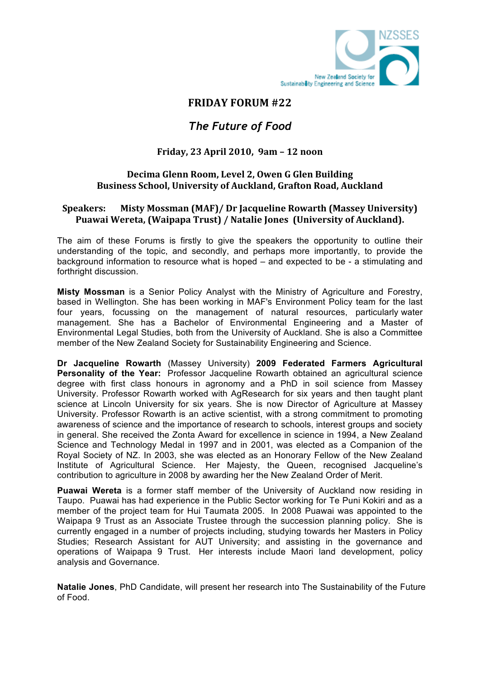

## **FRIDAY FORUM #22**

# *The Future of Food*

## **Friday, 23 April 2010, 9am – 12 noon**

### **Decima Glenn Room, Level 2, Owen G Glen Building Business School, University of Auckland, Grafton Road, Auckland**

### **Speakers: Misty Mossman (MAF)/ Dr Jacqueline Rowarth (Massey University) Puawai Wereta, (Waipapa Trust) / Natalie Jones (University of Auckland).**

The aim of these Forums is firstly to give the speakers the opportunity to outline their understanding of the topic, and secondly, and perhaps more importantly, to provide the background information to resource what is hoped – and expected to be - a stimulating and forthright discussion.

**Misty Mossman** is a Senior Policy Analyst with the Ministry of Agriculture and Forestry, based in Wellington. She has been working in MAF's Environment Policy team for the last four years, focussing on the management of natural resources, particularly water management. She has a Bachelor of Environmental Engineering and a Master of Environmental Legal Studies, both from the University of Auckland. She is also a Committee member of the New Zealand Society for Sustainability Engineering and Science.

**Dr Jacqueline Rowarth** (Massey University) **2009 Federated Farmers Agricultural Personality of the Year:** Professor Jacqueline Rowarth obtained an agricultural science degree with first class honours in agronomy and a PhD in soil science from Massey University. Professor Rowarth worked with AgResearch for six years and then taught plant science at Lincoln University for six years. She is now Director of Agriculture at Massey University. Professor Rowarth is an active scientist, with a strong commitment to promoting awareness of science and the importance of research to schools, interest groups and society in general. She received the Zonta Award for excellence in science in 1994, a New Zealand Science and Technology Medal in 1997 and in 2001, was elected as a Companion of the Royal Society of NZ. In 2003, she was elected as an Honorary Fellow of the New Zealand Institute of Agricultural Science. Her Majesty, the Queen, recognised Jacqueline's contribution to agriculture in 2008 by awarding her the New Zealand Order of Merit.

**Puawai Wereta** is a former staff member of the University of Auckland now residing in Taupo. Puawai has had experience in the Public Sector working for Te Puni Kokiri and as a member of the project team for Hui Taumata 2005. In 2008 Puawai was appointed to the Waipapa 9 Trust as an Associate Trustee through the succession planning policy. She is currently engaged in a number of projects including, studying towards her Masters in Policy Studies; Research Assistant for AUT University; and assisting in the governance and operations of Waipapa 9 Trust. Her interests include Maori land development, policy analysis and Governance.

**Natalie Jones**, PhD Candidate, will present her research into The Sustainability of the Future of Food.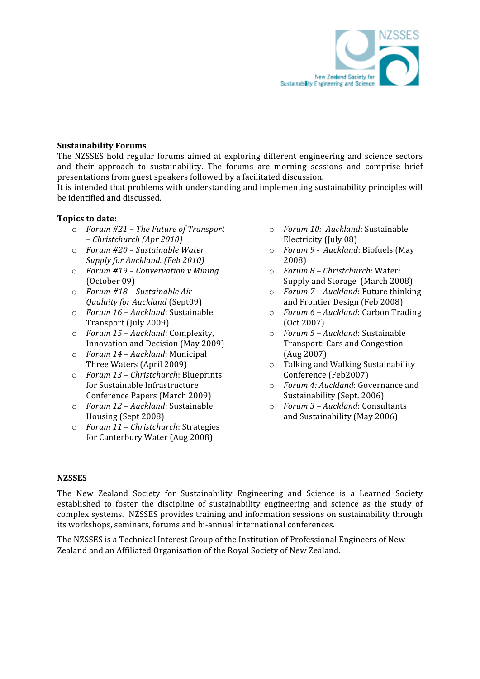

#### **Sustainability Forums**

The NZSSES hold regular forums aimed at exploring different engineering and science sectors and their approach to sustainability. The forums are morning sessions and comprise brief presentations from guest speakers followed by a facilitated discussion.

It is intended that problems with understanding and implementing sustainability principles will be identified and discussed.

#### **Topics to date:**

- o *Forum #21 The Future of Transport – Christchurch (Apr 2010)*
- o *Forum #20 Sustainable Water Supply for Auckland. (Feb 2010)*
- o *Forum #19 Convervation v Mining*  (October 09)
- o *Forum #18 Sustainable Air Qualaity for Auckland* (Sept09)
- o *Forum 16 Auckland*: Sustainable Transport (July 2009)
- o *Forum 15 Auckland*: Complexity, Innovation and Decision (May 2009)
- o *Forum 14 Auckland*: Municipal Three Waters (April 2009)
- o *Forum 13 Christchurch*: Blueprints for Sustainable Infrastructure Conference Papers (March 2009)
- o *Forum 12 Auckland*: Sustainable Housing (Sept 2008)
- o *Forum 11 Christchurch*: Strategies for Canterbury Water (Aug 2008)
- o *Forum 10: Auckland*: Sustainable Electricity (July 08)
- o *Forum 9 Auckland*: Biofuels (May 2008)
- o *Forum 8 Christchurch*: Water: Supply and Storage (March 2008)
- o *Forum 7 Auckland*: Future thinking and Frontier Design (Feb 2008)
- o *Forum 6 Auckland*: Carbon Trading (Oct 2007)
- o *Forum 5 Auckland*: Sustainable Transport: Cars and Congestion (Aug 2007)
- o Talking and Walking Sustainability Conference (Feb2007)
- o *Forum 4: Auckland*: Governance and Sustainability (Sept. 2006)
- o *Forum 3 Auckland*: Consultants and Sustainability (May 2006)

#### **NZSSES**

The New Zealand Society for Sustainability Engineering and Science is a Learned Society established to foster the discipline of sustainability engineering and science as the study of complex systems. NZSSES provides training and information sessions on sustainability through its workshops, seminars, forums and bi‐annual international conferences.

The NZSSES is a Technical Interest Group of the Institution of Professional Engineers of New Zealand and an Affiliated Organisation of the Royal Society of New Zealand.